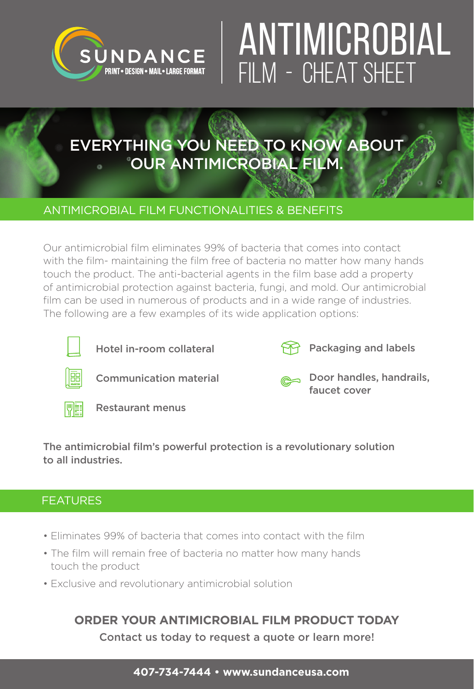

# ANTIMICROBIAL FILM - CHEAT SHEET

## EVERYTHING YOU NEED TO KNOW ABOUT OUR ANTIMICROBIAL FILM.

### ANTIMICROBIAL FILM FUNCTIONALITIES & BENEFITS

Our antimicrobial film eliminates 99% of bacteria that comes into contact with the film- maintaining the film free of bacteria no matter how many hands touch the product. The anti-bacterial agents in the film base add a property of antimicrobial protection against bacteria, fungi, and mold. Our antimicrobial film can be used in numerous of products and in a wide range of industries. The following are a few examples of its wide application options:



Hotel in-room collateral



Packaging and labels



Communication material



Door handles, handrails, faucet cover



Restaurant menus

The antimicrobial film's powerful protection is a revolutionary solution to all industries.

### FEATURES

- Eliminates 99% of bacteria that comes into contact with the film
- The film will remain free of bacteria no matter how many hands touch the product
- Exclusive and revolutionary antimicrobial solution

### **ORDER YOUR ANTIMICROBIAL FILM PRODUCT TODAY**

Contact us today to request a quote or learn more!